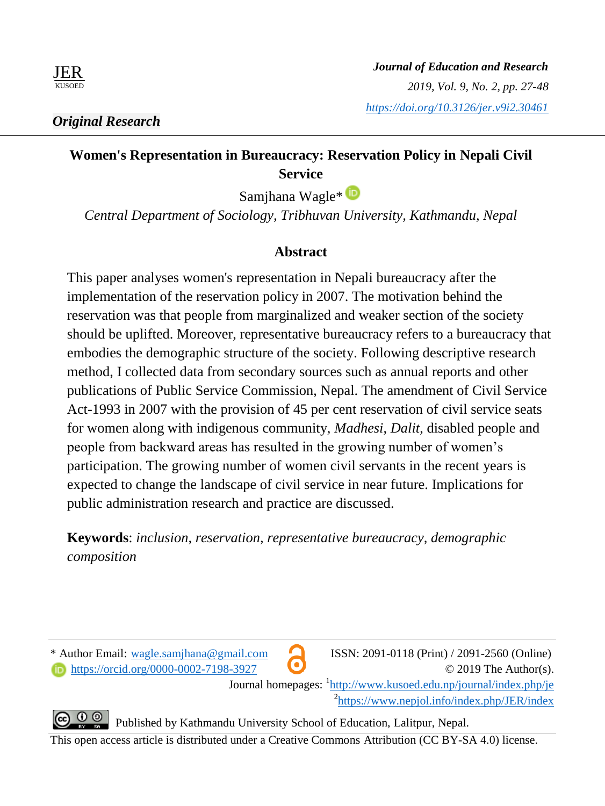

## **Women's Representation in Bureaucracy: Reservation Policy in Nepali Civil Service**

Samjhana Wagle\*<sup>D</sup>

*Central Department of Sociology, Tribhuvan University, Kathmandu, Nepal*

## **Abstract**

This paper analyses women's representation in Nepali bureaucracy after the implementation of the reservation policy in 2007. The motivation behind the reservation was that people from marginalized and weaker section of the society should be uplifted. Moreover, representative bureaucracy refers to a bureaucracy that embodies the demographic structure of the society. Following descriptive research method, I collected data from secondary sources such as annual reports and other publications of Public Service Commission, Nepal. The amendment of Civil Service Act-1993 in 2007 with the provision of 45 per cent reservation of civil service seats for women along with indigenous community, *Madhesi*, *Dalit*, disabled people and people from backward areas has resulted in the growing number of women"s participation. The growing number of women civil servants in the recent years is expected to change the landscape of civil service in near future. Implications for public administration research and practice are discussed.

**Keywords**: *inclusion, reservation, representative bureaucracy, demographic composition*



\* Author Email: wagle.samjhana@gmail.com ISSN: 2091-0118 (Print) / 2091-2560 (Online) **h**https://orcid.org/0000-0002-7198-3927  $\bullet$   $\bullet$  2019 The Author(s).

> Journal homepages:  $\frac{1 \text{http://www.kusoed.edu,np/journal/index.php/j}}{$ <sup>2</sup>https://www.nepjol.info/index.php/JER/index

Published by Kathmandu University School of Education, Lalitpur, Nepal. This open access article is distributed under a Creative Commons Attribution (CC BY-SA 4.0) license.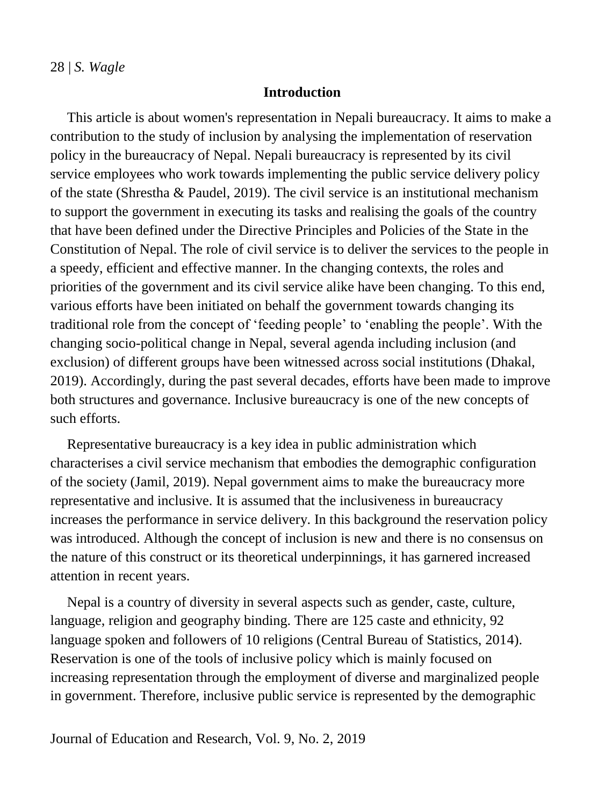#### **Introduction**

This article is about women's representation in Nepali bureaucracy. It aims to make a contribution to the study of inclusion by analysing the implementation of reservation policy in the bureaucracy of Nepal. Nepali bureaucracy is represented by its civil service employees who work towards implementing the public service delivery policy of the state (Shrestha & Paudel, 2019). The civil service is an institutional mechanism to support the government in executing its tasks and realising the goals of the country that have been defined under the Directive Principles and Policies of the State in the Constitution of Nepal. The role of civil service is to deliver the services to the people in a speedy, efficient and effective manner. In the changing contexts, the roles and priorities of the government and its civil service alike have been changing. To this end, various efforts have been initiated on behalf the government towards changing its traditional role from the concept of "feeding people" to "enabling the people". With the changing socio-political change in Nepal, several agenda including inclusion (and exclusion) of different groups have been witnessed across social institutions (Dhakal, 2019). Accordingly, during the past several decades, efforts have been made to improve both structures and governance. Inclusive bureaucracy is one of the new concepts of such efforts.

Representative bureaucracy is a key idea in public administration which characterises a civil service mechanism that embodies the demographic configuration of the society (Jamil, 2019). Nepal government aims to make the bureaucracy more representative and inclusive. It is assumed that the inclusiveness in bureaucracy increases the performance in service delivery. In this background the reservation policy was introduced. Although the concept of inclusion is new and there is no consensus on the nature of this construct or its theoretical underpinnings, it has garnered increased attention in recent years.

Nepal is a country of diversity in several aspects such as gender, caste, culture, language, religion and geography binding. There are 125 caste and ethnicity, 92 language spoken and followers of 10 religions (Central Bureau of Statistics, 2014). Reservation is one of the tools of inclusive policy which is mainly focused on increasing representation through the employment of diverse and marginalized people in government. Therefore, inclusive public service is represented by the demographic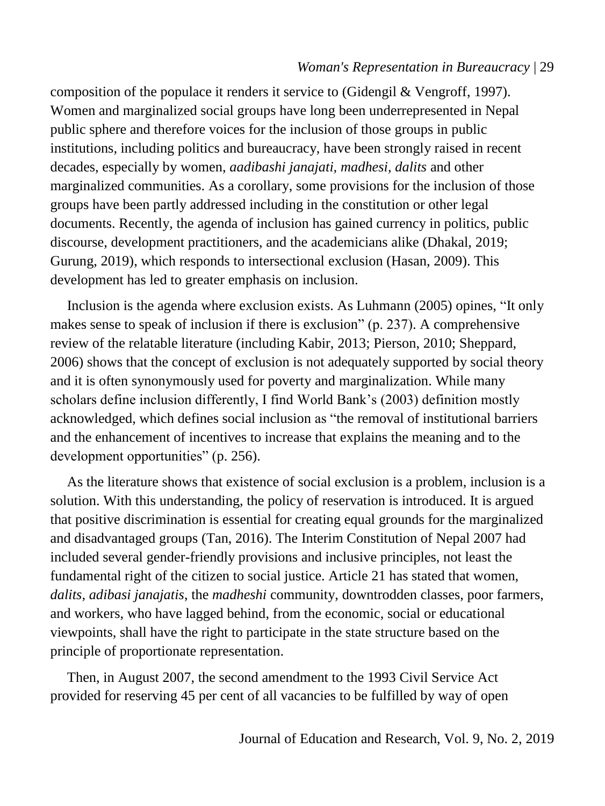## *Woman's Representation in Bureaucracy* | 29

composition of the populace it renders it service to (Gidengil & Vengroff, 1997). Women and marginalized social groups have long been underrepresented in Nepal public sphere and therefore voices for the inclusion of those groups in public institutions, including politics and bureaucracy, have been strongly raised in recent decades, especially by women, *aadibashi janajati, madhesi, dalits* and other marginalized communities. As a corollary, some provisions for the inclusion of those groups have been partly addressed including in the constitution or other legal documents. Recently, the agenda of inclusion has gained currency in politics, public discourse, development practitioners, and the academicians alike (Dhakal, 2019; Gurung, 2019), which responds to intersectional exclusion (Hasan, 2009). This development has led to greater emphasis on inclusion.

Inclusion is the agenda where exclusion exists. As Luhmann (2005) opines, "It only makes sense to speak of inclusion if there is exclusion" (p. 237). A comprehensive review of the relatable literature (including Kabir, 2013; Pierson, 2010; Sheppard, 2006) shows that the concept of exclusion is not adequately supported by social theory and it is often synonymously used for poverty and marginalization. While many scholars define inclusion differently, I find World Bank"s (2003) definition mostly acknowledged, which defines social inclusion as "the removal of institutional barriers and the enhancement of incentives to increase that explains the meaning and to the development opportunities" (p. 256).

As the literature shows that existence of social exclusion is a problem, inclusion is a solution. With this understanding, the policy of reservation is introduced. It is argued that positive discrimination is essential for creating equal grounds for the marginalized and disadvantaged groups (Tan, 2016). The Interim Constitution of Nepal 2007 had included several gender-friendly provisions and inclusive principles, not least the fundamental right of the citizen to social justice. Article 21 has stated that women, *dalits, adibasi janajatis*, the *madheshi* community, downtrodden classes, poor farmers, and workers, who have lagged behind, from the economic, social or educational viewpoints, shall have the right to participate in the state structure based on the principle of proportionate representation.

Then, in August 2007, the second amendment to the 1993 Civil Service Act provided for reserving 45 per cent of all vacancies to be fulfilled by way of open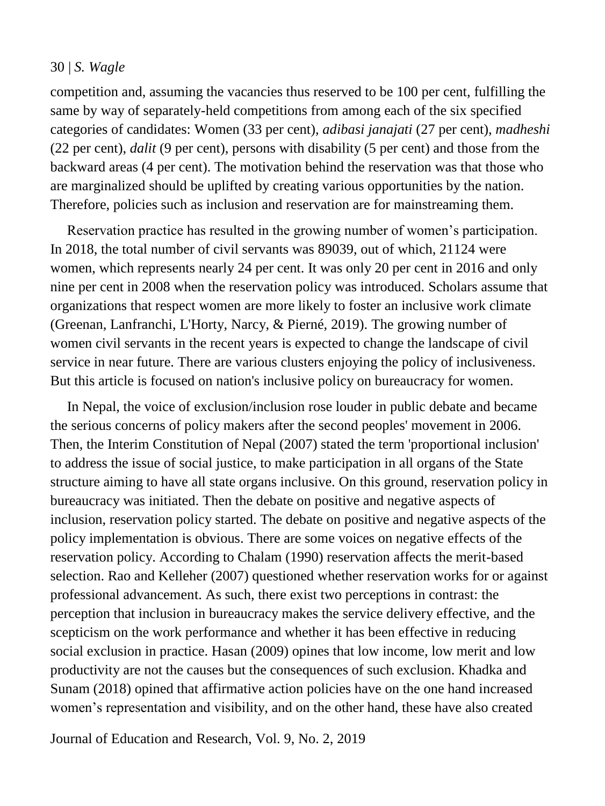competition and, assuming the vacancies thus reserved to be 100 per cent, fulfilling the same by way of separately-held competitions from among each of the six specified categories of candidates: Women (33 per cent), *adibasi janajati* (27 per cent), *madheshi* (22 per cent), *dalit* (9 per cent), persons with disability (5 per cent) and those from the backward areas (4 per cent). The motivation behind the reservation was that those who are marginalized should be uplifted by creating various opportunities by the nation. Therefore, policies such as inclusion and reservation are for mainstreaming them.

Reservation practice has resulted in the growing number of women"s participation. In 2018, the total number of civil servants was 89039, out of which, 21124 were women, which represents nearly 24 per cent. It was only 20 per cent in 2016 and only nine per cent in 2008 when the reservation policy was introduced. Scholars assume that organizations that respect women are more likely to foster an inclusive work climate (Greenan, Lanfranchi, L'Horty, Narcy, & Pierné, 2019). The growing number of women civil servants in the recent years is expected to change the landscape of civil service in near future. There are various clusters enjoying the policy of inclusiveness. But this article is focused on nation's inclusive policy on bureaucracy for women.

In Nepal, the voice of exclusion/inclusion rose louder in public debate and became the serious concerns of policy makers after the second peoples' movement in 2006. Then, the Interim Constitution of Nepal (2007) stated the term 'proportional inclusion' to address the issue of social justice, to make participation in all organs of the State structure aiming to have all state organs inclusive. On this ground, reservation policy in bureaucracy was initiated. Then the debate on positive and negative aspects of inclusion, reservation policy started. The debate on positive and negative aspects of the policy implementation is obvious. There are some voices on negative effects of the reservation policy. According to Chalam (1990) reservation affects the merit-based selection. Rao and Kelleher (2007) questioned whether reservation works for or against professional advancement. As such, there exist two perceptions in contrast: the perception that inclusion in bureaucracy makes the service delivery effective, and the scepticism on the work performance and whether it has been effective in reducing social exclusion in practice. Hasan (2009) opines that low income, low merit and low productivity are not the causes but the consequences of such exclusion. Khadka and Sunam (2018) opined that affirmative action policies have on the one hand increased women"s representation and visibility, and on the other hand, these have also created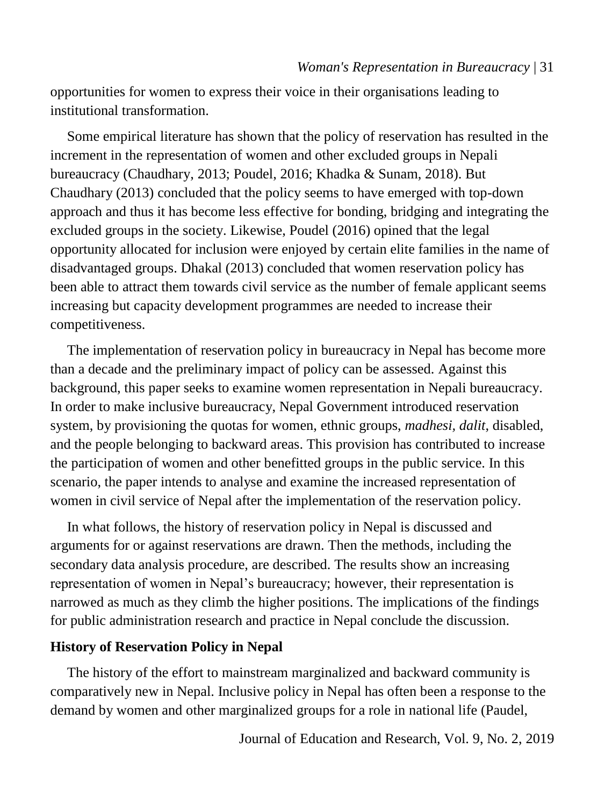opportunities for women to express their voice in their organisations leading to institutional transformation.

Some empirical literature has shown that the policy of reservation has resulted in the increment in the representation of women and other excluded groups in Nepali bureaucracy (Chaudhary, 2013; Poudel, 2016; Khadka & Sunam, 2018). But Chaudhary (2013) concluded that the policy seems to have emerged with top-down approach and thus it has become less effective for bonding, bridging and integrating the excluded groups in the society. Likewise, Poudel (2016) opined that the legal opportunity allocated for inclusion were enjoyed by certain elite families in the name of disadvantaged groups. Dhakal (2013) concluded that women reservation policy has been able to attract them towards civil service as the number of female applicant seems increasing but capacity development programmes are needed to increase their competitiveness.

The implementation of reservation policy in bureaucracy in Nepal has become more than a decade and the preliminary impact of policy can be assessed. Against this background, this paper seeks to examine women representation in Nepali bureaucracy. In order to make inclusive bureaucracy, Nepal Government introduced reservation system, by provisioning the quotas for women, ethnic groups, *madhesi, dalit*, disabled, and the people belonging to backward areas. This provision has contributed to increase the participation of women and other benefitted groups in the public service. In this scenario, the paper intends to analyse and examine the increased representation of women in civil service of Nepal after the implementation of the reservation policy.

In what follows, the history of reservation policy in Nepal is discussed and arguments for or against reservations are drawn. Then the methods, including the secondary data analysis procedure, are described. The results show an increasing representation of women in Nepal"s bureaucracy; however, their representation is narrowed as much as they climb the higher positions. The implications of the findings for public administration research and practice in Nepal conclude the discussion.

## **History of Reservation Policy in Nepal**

The history of the effort to mainstream marginalized and backward community is comparatively new in Nepal. Inclusive policy in Nepal has often been a response to the demand by women and other marginalized groups for a role in national life (Paudel,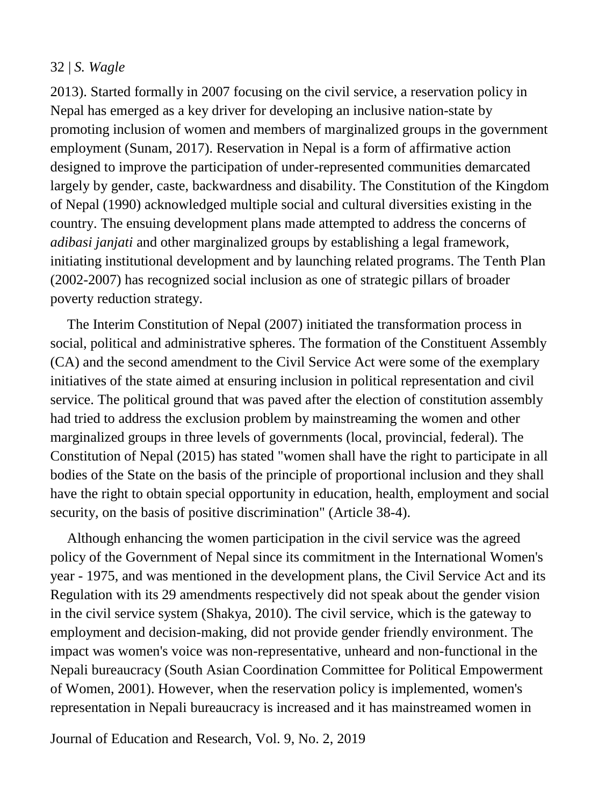2013). Started formally in 2007 focusing on the civil service, a reservation policy in Nepal has emerged as a key driver for developing an inclusive nation-state by promoting inclusion of women and members of marginalized groups in the government employment (Sunam, 2017). Reservation in Nepal is a form of affirmative action designed to improve the participation of under-represented communities demarcated largely by gender, caste, backwardness and disability. The Constitution of the Kingdom of Nepal (1990) acknowledged multiple social and cultural diversities existing in the country. The ensuing development plans made attempted to address the concerns of *adibasi janjati* and other marginalized groups by establishing a legal framework, initiating institutional development and by launching related programs. The Tenth Plan (2002-2007) has recognized social inclusion as one of strategic pillars of broader poverty reduction strategy.

The Interim Constitution of Nepal (2007) initiated the transformation process in social, political and administrative spheres. The formation of the Constituent Assembly (CA) and the second amendment to the Civil Service Act were some of the exemplary initiatives of the state aimed at ensuring inclusion in political representation and civil service. The political ground that was paved after the election of constitution assembly had tried to address the exclusion problem by mainstreaming the women and other marginalized groups in three levels of governments (local, provincial, federal). The Constitution of Nepal (2015) has stated "women shall have the right to participate in all bodies of the State on the basis of the principle of proportional inclusion and they shall have the right to obtain special opportunity in education, health, employment and social security, on the basis of positive discrimination" (Article 38-4).

Although enhancing the women participation in the civil service was the agreed policy of the Government of Nepal since its commitment in the International Women's year - 1975, and was mentioned in the development plans, the Civil Service Act and its Regulation with its 29 amendments respectively did not speak about the gender vision in the civil service system (Shakya, 2010). The civil service, which is the gateway to employment and decision-making, did not provide gender friendly environment. The impact was women's voice was non-representative, unheard and non-functional in the Nepali bureaucracy (South Asian Coordination Committee for Political Empowerment of Women, 2001). However, when the reservation policy is implemented, women's representation in Nepali bureaucracy is increased and it has mainstreamed women in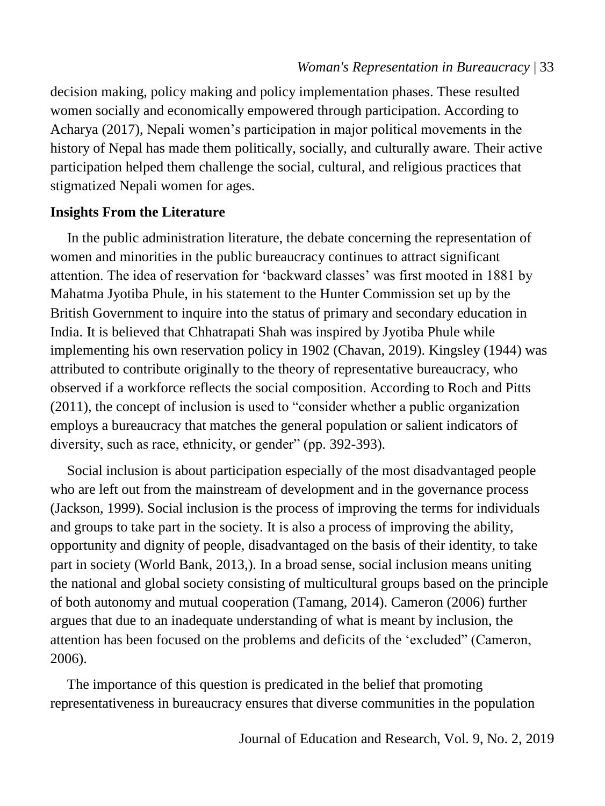### *Woman's Representation in Bureaucracy* | 33

decision making, policy making and policy implementation phases. These resulted women socially and economically empowered through participation. According to Acharya (2017), Nepali women"s participation in major political movements in the history of Nepal has made them politically, socially, and culturally aware. Their active participation helped them challenge the social, cultural, and religious practices that stigmatized Nepali women for ages.

#### **Insights From the Literature**

In the public administration literature, the debate concerning the representation of women and minorities in the public bureaucracy continues to attract significant attention. The idea of reservation for "backward classes" was first mooted in 1881 by Mahatma Jyotiba Phule, in his statement to the Hunter Commission set up by the British Government to inquire into the status of primary and secondary education in India. It is believed that Chhatrapati Shah was inspired by Jyotiba Phule while implementing his own reservation policy in 1902 (Chavan, 2019). Kingsley (1944) was attributed to contribute originally to the theory of representative bureaucracy, who observed if a workforce reflects the social composition. According to Roch and Pitts (2011), the concept of inclusion is used to "consider whether a public organization employs a bureaucracy that matches the general population or salient indicators of diversity, such as race, ethnicity, or gender" (pp. 392-393).

Social inclusion is about participation especially of the most disadvantaged people who are left out from the mainstream of development and in the governance process (Jackson, 1999). Social inclusion is the process of improving the terms for individuals and groups to take part in the society. It is also a process of improving the ability, opportunity and dignity of people, disadvantaged on the basis of their identity, to take part in society (World Bank, 2013,). In a broad sense, social inclusion means uniting the national and global society consisting of multicultural groups based on the principle of both autonomy and mutual cooperation (Tamang, 2014). Cameron (2006) further argues that due to an inadequate understanding of what is meant by inclusion, the attention has been focused on the problems and deficits of the "excluded" (Cameron, 2006).

The importance of this question is predicated in the belief that promoting representativeness in bureaucracy ensures that diverse communities in the population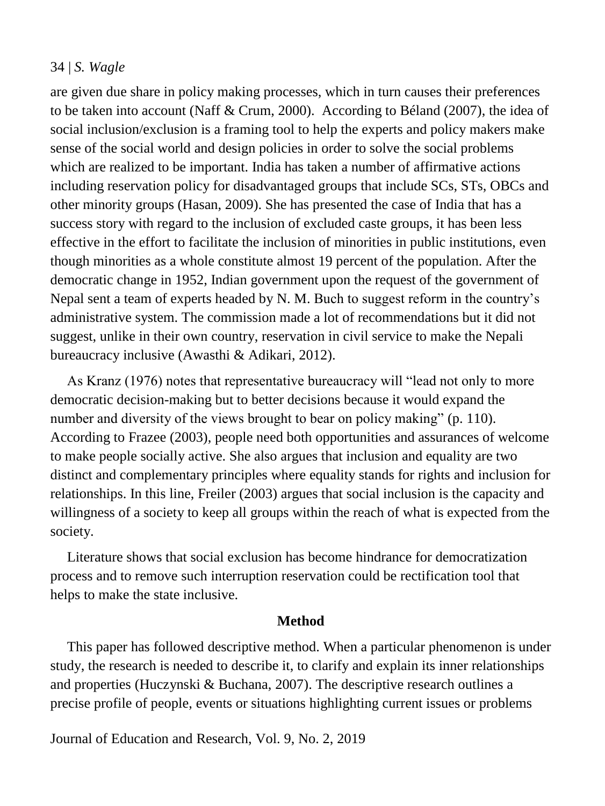are given due share in policy making processes, which in turn causes their preferences to be taken into account (Naff & Crum, 2000). According to Béland (2007), the idea of social inclusion/exclusion is a framing tool to help the experts and policy makers make sense of the social world and design policies in order to solve the social problems which are realized to be important. India has taken a number of affirmative actions including reservation policy for disadvantaged groups that include SCs, STs, OBCs and other minority groups (Hasan, 2009). She has presented the case of India that has a success story with regard to the inclusion of excluded caste groups, it has been less effective in the effort to facilitate the inclusion of minorities in public institutions, even though minorities as a whole constitute almost 19 percent of the population. After the democratic change in 1952, Indian government upon the request of the government of Nepal sent a team of experts headed by N. M. Buch to suggest reform in the country"s administrative system. The commission made a lot of recommendations but it did not suggest, unlike in their own country, reservation in civil service to make the Nepali bureaucracy inclusive (Awasthi & Adikari, 2012).

As Kranz (1976) notes that representative bureaucracy will "lead not only to more democratic decision-making but to better decisions because it would expand the number and diversity of the views brought to bear on policy making" (p. 110). According to Frazee (2003), people need both opportunities and assurances of welcome to make people socially active. She also argues that inclusion and equality are two distinct and complementary principles where equality stands for rights and inclusion for relationships. In this line, Freiler (2003) argues that social inclusion is the capacity and willingness of a society to keep all groups within the reach of what is expected from the society.

Literature shows that social exclusion has become hindrance for democratization process and to remove such interruption reservation could be rectification tool that helps to make the state inclusive.

#### **Method**

This paper has followed descriptive method. When a particular phenomenon is under study, the research is needed to describe it, to clarify and explain its inner relationships and properties (Huczynski & Buchana, 2007). The descriptive research outlines a precise profile of people, events or situations highlighting current issues or problems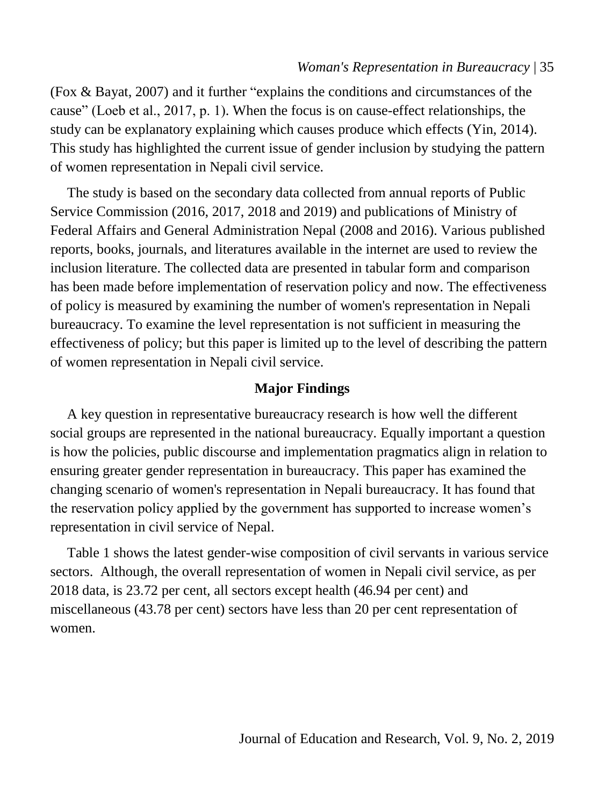(Fox & Bayat, 2007) and it further "explains the conditions and circumstances of the cause" (Loeb et al., 2017, p. 1). When the focus is on cause-effect relationships, the study can be explanatory explaining which causes produce which effects (Yin, 2014). This study has highlighted the current issue of gender inclusion by studying the pattern of women representation in Nepali civil service.

The study is based on the secondary data collected from annual reports of Public Service Commission (2016, 2017, 2018 and 2019) and publications of Ministry of Federal Affairs and General Administration Nepal (2008 and 2016). Various published reports, books, journals, and literatures available in the internet are used to review the inclusion literature. The collected data are presented in tabular form and comparison has been made before implementation of reservation policy and now. The effectiveness of policy is measured by examining the number of women's representation in Nepali bureaucracy. To examine the level representation is not sufficient in measuring the effectiveness of policy; but this paper is limited up to the level of describing the pattern of women representation in Nepali civil service.

### **Major Findings**

A key question in representative bureaucracy research is how well the different social groups are represented in the national bureaucracy. Equally important a question is how the policies, public discourse and implementation pragmatics align in relation to ensuring greater gender representation in bureaucracy. This paper has examined the changing scenario of women's representation in Nepali bureaucracy. It has found that the reservation policy applied by the government has supported to increase women"s representation in civil service of Nepal.

Table 1 shows the latest gender-wise composition of civil servants in various service sectors. Although, the overall representation of women in Nepali civil service, as per 2018 data, is 23.72 per cent, all sectors except health (46.94 per cent) and miscellaneous (43.78 per cent) sectors have less than 20 per cent representation of women.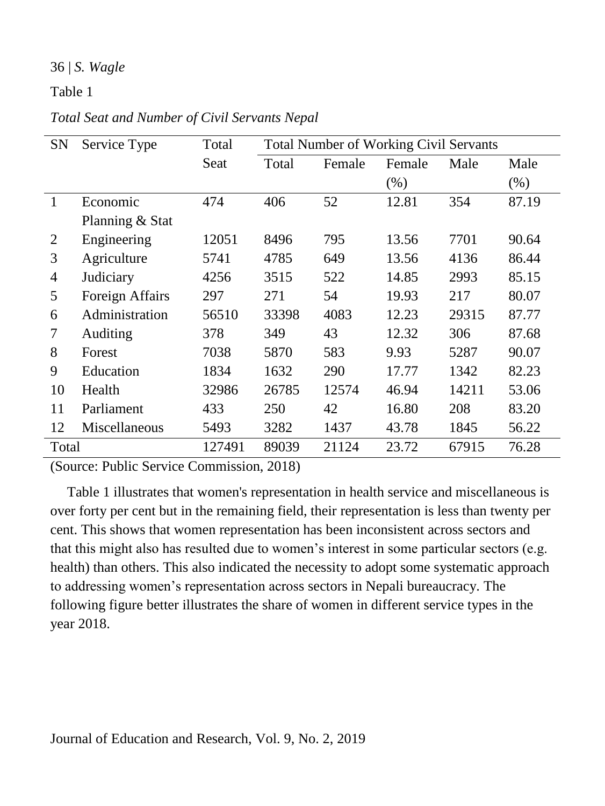## Table 1

*Total Seat and Number of Civil Servants Nepal*

| <b>SN</b>      | Service Type    | Total  | <b>Total Number of Working Civil Servants</b> |        |        |       |       |
|----------------|-----------------|--------|-----------------------------------------------|--------|--------|-------|-------|
|                |                 | Seat   | Total                                         | Female | Female | Male  | Male  |
|                |                 |        |                                               |        | (% )   |       | (% )  |
| $\mathbf{1}$   | Economic        | 474    | 406                                           | 52     | 12.81  | 354   | 87.19 |
|                | Planning & Stat |        |                                               |        |        |       |       |
| $\overline{2}$ | Engineering     | 12051  | 8496                                          | 795    | 13.56  | 7701  | 90.64 |
| 3              | Agriculture     | 5741   | 4785                                          | 649    | 13.56  | 4136  | 86.44 |
| $\overline{4}$ | Judiciary       | 4256   | 3515                                          | 522    | 14.85  | 2993  | 85.15 |
| 5              | Foreign Affairs | 297    | 271                                           | 54     | 19.93  | 217   | 80.07 |
| 6              | Administration  | 56510  | 33398                                         | 4083   | 12.23  | 29315 | 87.77 |
| 7              | <b>Auditing</b> | 378    | 349                                           | 43     | 12.32  | 306   | 87.68 |
| 8              | Forest          | 7038   | 5870                                          | 583    | 9.93   | 5287  | 90.07 |
| 9              | Education       | 1834   | 1632                                          | 290    | 17.77  | 1342  | 82.23 |
| 10             | Health          | 32986  | 26785                                         | 12574  | 46.94  | 14211 | 53.06 |
| 11             | Parliament      | 433    | 250                                           | 42     | 16.80  | 208   | 83.20 |
| 12             | Miscellaneous   | 5493   | 3282                                          | 1437   | 43.78  | 1845  | 56.22 |
| Total          |                 | 127491 | 89039                                         | 21124  | 23.72  | 67915 | 76.28 |

(Source: Public Service Commission, 2018)

Table 1 illustrates that women's representation in health service and miscellaneous is over forty per cent but in the remaining field, their representation is less than twenty per cent. This shows that women representation has been inconsistent across sectors and that this might also has resulted due to women's interest in some particular sectors (e.g. health) than others. This also indicated the necessity to adopt some systematic approach to addressing women"s representation across sectors in Nepali bureaucracy. The following figure better illustrates the share of women in different service types in the year 2018.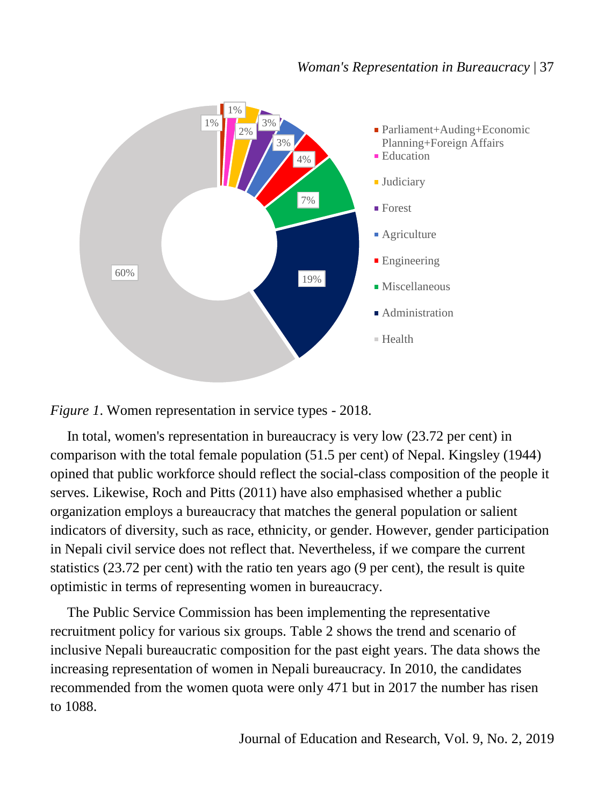

*Figure 1*. Women representation in service types - 2018.

In total, women's representation in bureaucracy is very low (23.72 per cent) in comparison with the total female population (51.5 per cent) of Nepal. Kingsley (1944) opined that public workforce should reflect the social-class composition of the people it serves. Likewise, Roch and Pitts (2011) have also emphasised whether a public organization employs a bureaucracy that matches the general population or salient indicators of diversity, such as race, ethnicity, or gender. However, gender participation in Nepali civil service does not reflect that. Nevertheless, if we compare the current statistics (23.72 per cent) with the ratio ten years ago (9 per cent), the result is quite optimistic in terms of representing women in bureaucracy.

The Public Service Commission has been implementing the representative recruitment policy for various six groups. Table 2 shows the trend and scenario of inclusive Nepali bureaucratic composition for the past eight years. The data shows the increasing representation of women in Nepali bureaucracy. In 2010, the candidates recommended from the women quota were only 471 but in 2017 the number has risen to 1088.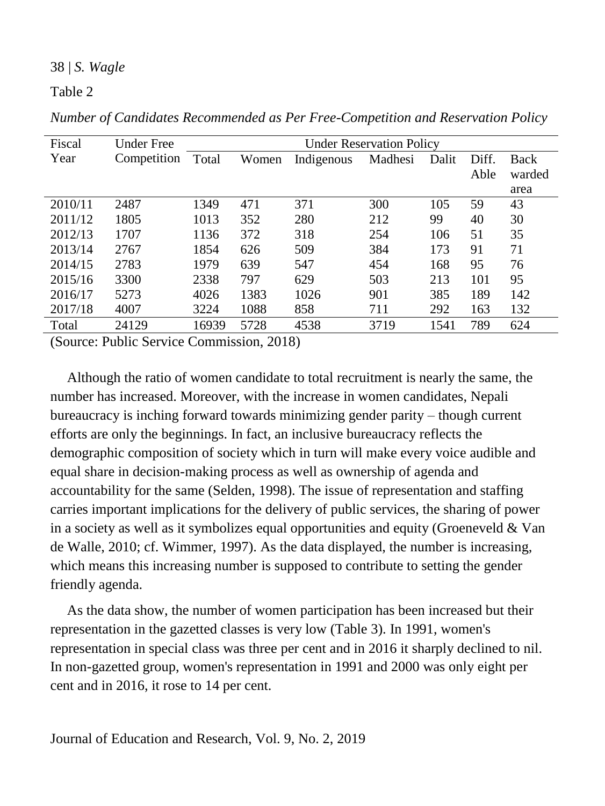Table 2

| Fiscal  | <b>Under Free</b> | <b>Under Reservation Policy</b> |       |            |         |       |       |        |
|---------|-------------------|---------------------------------|-------|------------|---------|-------|-------|--------|
| Year    | Competition       | Total                           | Women | Indigenous | Madhesi | Dalit | Diff. | Back   |
|         |                   |                                 |       |            |         |       | Able  | warded |
|         |                   |                                 |       |            |         |       |       | area   |
| 2010/11 | 2487              | 1349                            | 471   | 371        | 300     | 105   | 59    | 43     |
| 2011/12 | 1805              | 1013                            | 352   | 280        | 212     | 99    | 40    | 30     |
| 2012/13 | 1707              | 1136                            | 372   | 318        | 254     | 106   | 51    | 35     |
| 2013/14 | 2767              | 1854                            | 626   | 509        | 384     | 173   | 91    | 71     |
| 2014/15 | 2783              | 1979                            | 639   | 547        | 454     | 168   | 95    | 76     |
| 2015/16 | 3300              | 2338                            | 797   | 629        | 503     | 213   | 101   | 95     |
| 2016/17 | 5273              | 4026                            | 1383  | 1026       | 901     | 385   | 189   | 142    |
| 2017/18 | 4007              | 3224                            | 1088  | 858        | 711     | 292   | 163   | 132    |
| Total   | 24129             | 16939                           | 5728  | 4538       | 3719    | 1541  | 789   | 624    |

*Number of Candidates Recommended as Per Free-Competition and Reservation Policy*

(Source: Public Service Commission, 2018)

Although the ratio of women candidate to total recruitment is nearly the same, the number has increased. Moreover, with the increase in women candidates, Nepali bureaucracy is inching forward towards minimizing gender parity – though current efforts are only the beginnings. In fact, an inclusive bureaucracy reflects the demographic composition of society which in turn will make every voice audible and equal share in decision-making process as well as ownership of agenda and accountability for the same (Selden, 1998). The issue of representation and staffing carries important implications for the delivery of public services, the sharing of power in a society as well as it symbolizes equal opportunities and equity (Groeneveld  $& Van$ de Walle, 2010; cf. Wimmer, 1997). As the data displayed, the number is increasing, which means this increasing number is supposed to contribute to setting the gender friendly agenda.

As the data show, the number of women participation has been increased but their representation in the gazetted classes is very low (Table 3). In 1991, women's representation in special class was three per cent and in 2016 it sharply declined to nil. In non-gazetted group, women's representation in 1991 and 2000 was only eight per cent and in 2016, it rose to 14 per cent.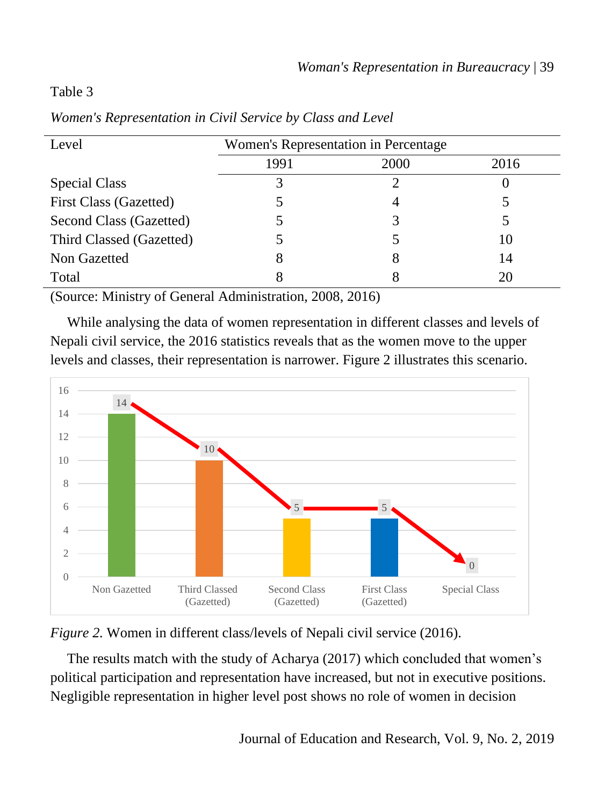# Table 3

| Level                    | Women's Representation in Percentage |      |      |  |  |  |
|--------------------------|--------------------------------------|------|------|--|--|--|
|                          | 1991                                 | 2000 | 2016 |  |  |  |
| <b>Special Class</b>     |                                      |      |      |  |  |  |
| First Class (Gazetted)   |                                      |      |      |  |  |  |
| Second Class (Gazetted)  |                                      |      |      |  |  |  |
| Third Classed (Gazetted) |                                      |      | 10   |  |  |  |
| Non Gazetted             |                                      | 8    | 14   |  |  |  |
| Total                    |                                      |      | 20   |  |  |  |

*Women's Representation in Civil Service by Class and Level*

(Source: Ministry of General Administration, 2008, 2016)

While analysing the data of women representation in different classes and levels of Nepali civil service, the 2016 statistics reveals that as the women move to the upper levels and classes, their representation is narrower. Figure 2 illustrates this scenario.



*Figure 2.* Women in different class/levels of Nepali civil service (2016).

The results match with the study of Acharya (2017) which concluded that women's political participation and representation have increased, but not in executive positions. Negligible representation in higher level post shows no role of women in decision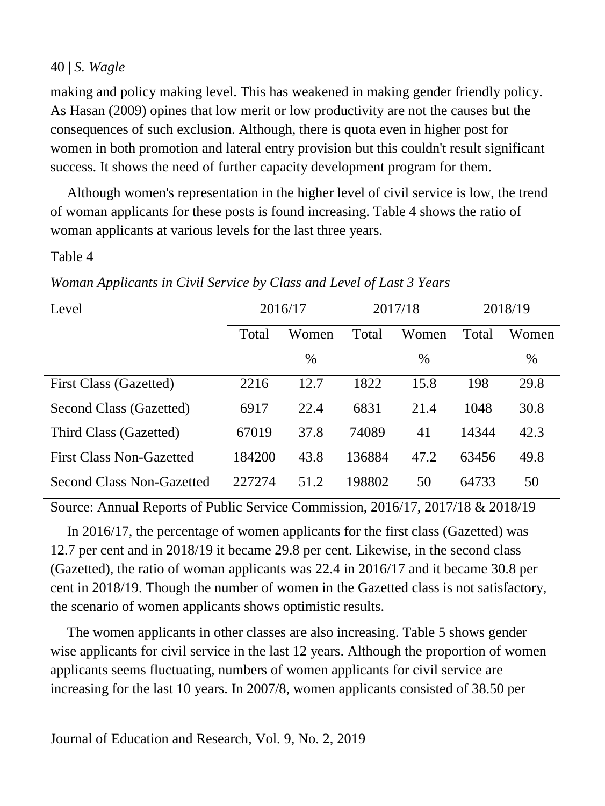making and policy making level. This has weakened in making gender friendly policy. As Hasan (2009) opines that low merit or low productivity are not the causes but the consequences of such exclusion. Although, there is quota even in higher post for women in both promotion and lateral entry provision but this couldn't result significant success. It shows the need of further capacity development program for them.

Although women's representation in the higher level of civil service is low, the trend of woman applicants for these posts is found increasing. Table 4 shows the ratio of woman applicants at various levels for the last three years.

### Table 4

## *Woman Applicants in Civil Service by Class and Level of Last 3 Years*

| Level                           | 2016/17 |       | 2017/18 |       | 2018/19 |       |
|---------------------------------|---------|-------|---------|-------|---------|-------|
|                                 | Total   | Women | Total   | Women | Total   | Women |
|                                 |         | $\%$  |         | $\%$  |         | %     |
| First Class (Gazetted)          | 2216    | 12.7  | 1822    | 15.8  | 198     | 29.8  |
| Second Class (Gazetted)         | 6917    | 22.4  | 6831    | 21.4  | 1048    | 30.8  |
| Third Class (Gazetted)          | 67019   | 37.8  | 74089   | 41    | 14344   | 42.3  |
| <b>First Class Non-Gazetted</b> | 184200  | 43.8  | 136884  | 47.2  | 63456   | 49.8  |
| Second Class Non-Gazetted       | 227274  | 51.2  | 198802  | 50    | 64733   | 50    |

Source: Annual Reports of Public Service Commission, 2016/17, 2017/18 & 2018/19

In 2016/17, the percentage of women applicants for the first class (Gazetted) was 12.7 per cent and in 2018/19 it became 29.8 per cent. Likewise, in the second class (Gazetted), the ratio of woman applicants was 22.4 in 2016/17 and it became 30.8 per cent in 2018/19. Though the number of women in the Gazetted class is not satisfactory, the scenario of women applicants shows optimistic results.

The women applicants in other classes are also increasing. Table 5 shows gender wise applicants for civil service in the last 12 years. Although the proportion of women applicants seems fluctuating, numbers of women applicants for civil service are increasing for the last 10 years. In 2007/8, women applicants consisted of 38.50 per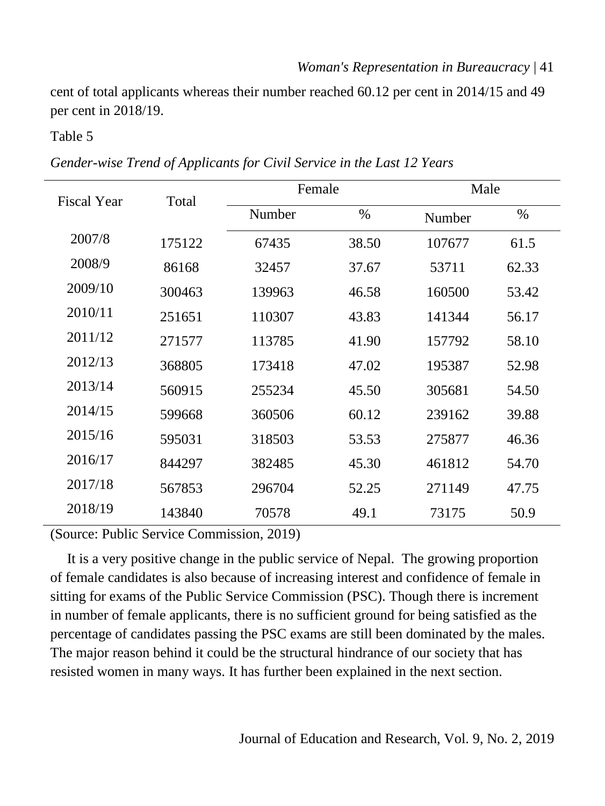cent of total applicants whereas their number reached 60.12 per cent in 2014/15 and 49 per cent in 2018/19.

## Table 5

*Gender-wise Trend of Applicants for Civil Service in the Last 12 Years* 

| <b>Fiscal Year</b> | Total  | Female |       |        | Male  |  |  |
|--------------------|--------|--------|-------|--------|-------|--|--|
|                    |        | Number | $\%$  | Number | $\%$  |  |  |
| 2007/8             | 175122 | 67435  | 38.50 | 107677 | 61.5  |  |  |
| 2008/9             | 86168  | 32457  | 37.67 | 53711  | 62.33 |  |  |
| 2009/10            | 300463 | 139963 | 46.58 | 160500 | 53.42 |  |  |
| 2010/11            | 251651 | 110307 | 43.83 | 141344 | 56.17 |  |  |
| 2011/12            | 271577 | 113785 | 41.90 | 157792 | 58.10 |  |  |
| 2012/13            | 368805 | 173418 | 47.02 | 195387 | 52.98 |  |  |
| 2013/14            | 560915 | 255234 | 45.50 | 305681 | 54.50 |  |  |
| 2014/15            | 599668 | 360506 | 60.12 | 239162 | 39.88 |  |  |
| 2015/16            | 595031 | 318503 | 53.53 | 275877 | 46.36 |  |  |
| 2016/17            | 844297 | 382485 | 45.30 | 461812 | 54.70 |  |  |
| 2017/18            | 567853 | 296704 | 52.25 | 271149 | 47.75 |  |  |
| 2018/19            | 143840 | 70578  | 49.1  | 73175  | 50.9  |  |  |

(Source: Public Service Commission, 2019)

It is a very positive change in the public service of Nepal. The growing proportion of female candidates is also because of increasing interest and confidence of female in sitting for exams of the Public Service Commission (PSC). Though there is increment in number of female applicants, there is no sufficient ground for being satisfied as the percentage of candidates passing the PSC exams are still been dominated by the males. The major reason behind it could be the structural hindrance of our society that has resisted women in many ways. It has further been explained in the next section.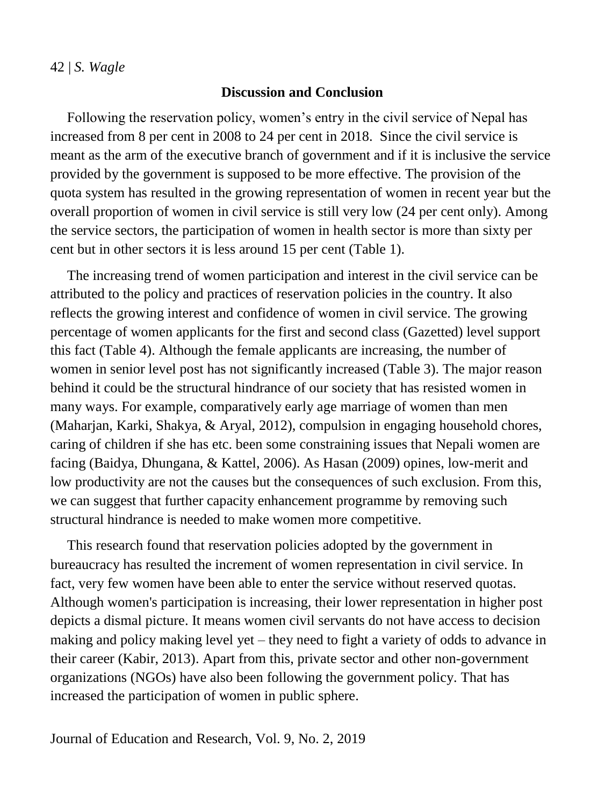### **Discussion and Conclusion**

Following the reservation policy, women's entry in the civil service of Nepal has increased from 8 per cent in 2008 to 24 per cent in 2018. Since the civil service is meant as the arm of the executive branch of government and if it is inclusive the service provided by the government is supposed to be more effective. The provision of the quota system has resulted in the growing representation of women in recent year but the overall proportion of women in civil service is still very low (24 per cent only). Among the service sectors, the participation of women in health sector is more than sixty per cent but in other sectors it is less around 15 per cent (Table 1).

The increasing trend of women participation and interest in the civil service can be attributed to the policy and practices of reservation policies in the country. It also reflects the growing interest and confidence of women in civil service. The growing percentage of women applicants for the first and second class (Gazetted) level support this fact (Table 4). Although the female applicants are increasing, the number of women in senior level post has not significantly increased (Table 3). The major reason behind it could be the structural hindrance of our society that has resisted women in many ways. For example, comparatively early age marriage of women than men (Maharjan, Karki, Shakya, & Aryal, 2012), compulsion in engaging household chores, caring of children if she has etc. been some constraining issues that Nepali women are facing (Baidya, Dhungana, & Kattel, 2006). As Hasan (2009) opines, low-merit and low productivity are not the causes but the consequences of such exclusion. From this, we can suggest that further capacity enhancement programme by removing such structural hindrance is needed to make women more competitive.

This research found that reservation policies adopted by the government in bureaucracy has resulted the increment of women representation in civil service. In fact, very few women have been able to enter the service without reserved quotas. Although women's participation is increasing, their lower representation in higher post depicts a dismal picture. It means women civil servants do not have access to decision making and policy making level yet – they need to fight a variety of odds to advance in their career (Kabir, 2013). Apart from this, private sector and other non-government organizations (NGOs) have also been following the government policy. That has increased the participation of women in public sphere.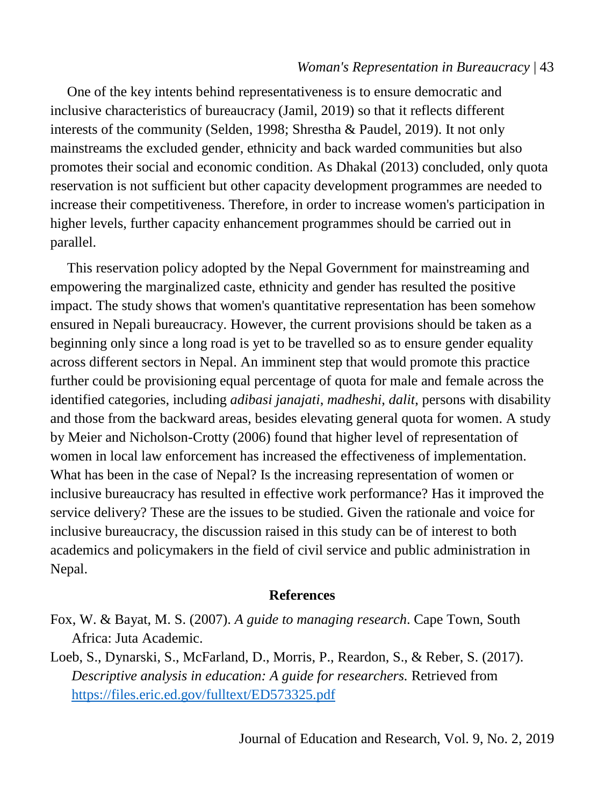### *Woman's Representation in Bureaucracy* | 43

One of the key intents behind representativeness is to ensure democratic and inclusive characteristics of bureaucracy (Jamil, 2019) so that it reflects different interests of the community (Selden, 1998; Shrestha & Paudel, 2019). It not only mainstreams the excluded gender, ethnicity and back warded communities but also promotes their social and economic condition. As Dhakal (2013) concluded, only quota reservation is not sufficient but other capacity development programmes are needed to increase their competitiveness. Therefore, in order to increase women's participation in higher levels, further capacity enhancement programmes should be carried out in parallel.

This reservation policy adopted by the Nepal Government for mainstreaming and empowering the marginalized caste, ethnicity and gender has resulted the positive impact. The study shows that women's quantitative representation has been somehow ensured in Nepali bureaucracy. However, the current provisions should be taken as a beginning only since a long road is yet to be travelled so as to ensure gender equality across different sectors in Nepal. An imminent step that would promote this practice further could be provisioning equal percentage of quota for male and female across the identified categories, including *adibasi janajati*, *madheshi*, *dalit*, persons with disability and those from the backward areas, besides elevating general quota for women. A study by Meier and Nicholson-Crotty (2006) found that higher level of representation of women in local law enforcement has increased the effectiveness of implementation. What has been in the case of Nepal? Is the increasing representation of women or inclusive bureaucracy has resulted in effective work performance? Has it improved the service delivery? These are the issues to be studied. Given the rationale and voice for inclusive bureaucracy, the discussion raised in this study can be of interest to both academics and policymakers in the field of civil service and public administration in Nepal.

#### **References**

Fox, W. & Bayat, M. S. (2007). *A guide to managing research*. Cape Town, South Africa: Juta Academic.

Loeb, S., Dynarski, S., McFarland, D., Morris, P., Reardon, S., & Reber, S. (2017). *Descriptive analysis in education: A guide for researchers.* Retrieved from <https://files.eric.ed.gov/fulltext/ED573325.pdf>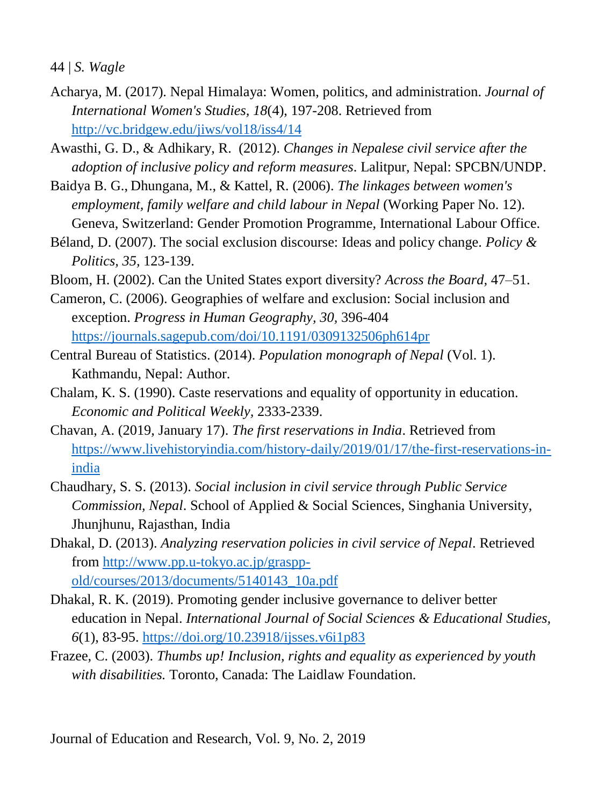- Acharya, M. (2017). Nepal Himalaya: Women, politics, and administration. *Journal of International Women's Studies, 18*(4), 197-208. Retrieved from <http://vc.bridgew.edu/jiws/vol18/iss4/14>
- Awasthi, G. D., & Adhikary, R. (2012). *Changes in Nepalese civil service after the adoption of inclusive policy and reform measures*. Lalitpur, Nepal: SPCBN/UNDP.
- Baidya B. G., Dhungana, M., & Kattel, R. (2006). *The linkages between women's employment, family welfare and child labour in Nepal* (Working Paper No. 12). Geneva, Switzerland: Gender Promotion Programme, International Labour Office.
- Béland, D. (2007). The social exclusion discourse: Ideas and policy change. *Policy & Politics, 35,* 123-139.
- Bloom, H. (2002). Can the United States export diversity? *Across the Board,* 47–51.
- Cameron, C. (2006). Geographies of welfare and exclusion: Social inclusion and exception. *Progress in Human Geography, 30,* 396-404 <https://journals.sagepub.com/doi/10.1191/0309132506ph614pr>
- Central Bureau of Statistics. (2014). *Population monograph of Nepal* (Vol. 1). Kathmandu, Nepal: Author.
- Chalam, K. S. (1990). Caste reservations and equality of opportunity in education. *Economic and Political Weekly,* 2333-2339.
- Chavan, A. (2019, January 17). *The first reservations in India*. Retrieved from [https://www.livehistoryindia.com/history-daily/2019/01/17/the-first-reservations-in](https://www.livehistoryindia.com/history-daily/2019/01/17/the-first-reservations-in-india)[india](https://www.livehistoryindia.com/history-daily/2019/01/17/the-first-reservations-in-india)
- Chaudhary, S. S. (2013). *Social inclusion in civil service through Public Service Commission, Nepal*. School of Applied & Social Sciences, Singhania University, Jhunjhunu, Rajasthan, India
- Dhakal, D. (2013). *Analyzing reservation policies in civil service of Nepal*. Retrieved from [http://www.pp.u-tokyo.ac.jp/graspp](http://www.pp.u-tokyo.ac.jp/graspp-old/courses/2013/documents/5140143_10a.pdf)[old/courses/2013/documents/5140143\\_10a.pdf](http://www.pp.u-tokyo.ac.jp/graspp-old/courses/2013/documents/5140143_10a.pdf)
- Dhakal, R. K. (2019). Promoting gender inclusive governance to deliver better education in Nepal. *International Journal of Social Sciences & Educational Studies, 6*(1), 83-95. <https://doi.org/10.23918/ijsses.v6i1p83>
- Frazee, C. (2003). *Thumbs up! Inclusion, rights and equality as experienced by youth with disabilities.* Toronto, Canada: The Laidlaw Foundation.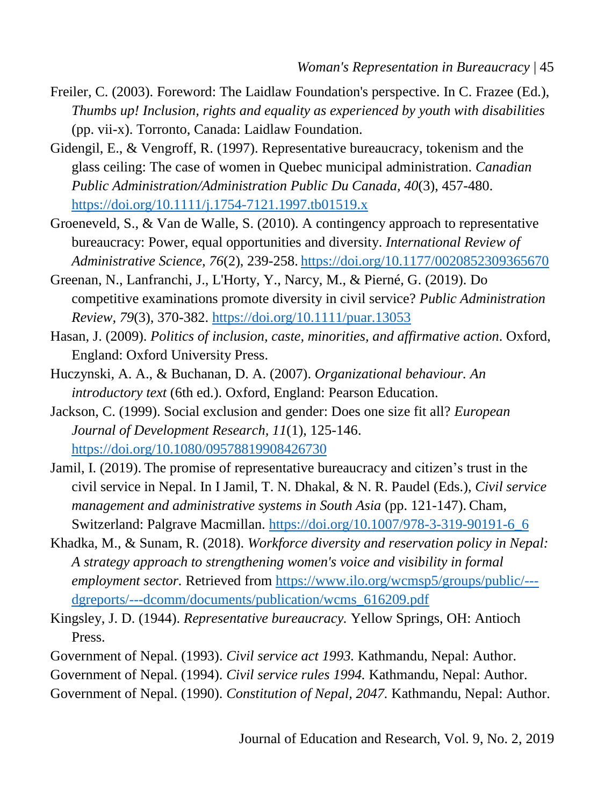- Freiler, C. (2003). Foreword: The Laidlaw Foundation's perspective. In C. Frazee (Ed.), *Thumbs up! Inclusion, rights and equality as experienced by youth with disabilities* (pp. vii-x). Torronto, Canada: Laidlaw Foundation.
- Gidengil, E., & Vengroff, R. (1997). Representative bureaucracy, tokenism and the glass ceiling: The case of women in Quebec municipal administration. *Canadian Public Administration/Administration Public Du Canada, 40*(3), 457-480. <https://doi.org/10.1111/j.1754-7121.1997.tb01519.x>
- Groeneveld, S., & Van de Walle, S. (2010). A contingency approach to representative bureaucracy: Power, equal opportunities and diversity. *International Review of Administrative Science, 76*(2), 239-258. <https://doi.org/10.1177/0020852309365670>
- Greenan, N., Lanfranchi, J., L'Horty, Y., Narcy, M., & Pierné, G. (2019). Do competitive examinations promote diversity in civil service? *Public Administration Review, 79*(3), 370-382. <https://doi.org/10.1111/puar.13053>
- Hasan, J. (2009). *Politics of inclusion, caste, minorities, and affirmative action*. Oxford, England: Oxford University Press.
- Huczynski, A. A., & Buchanan, D. A. (2007). *Organizational behaviour. An introductory text* (6th ed.). Oxford, England: Pearson Education.
- Jackson, C. (1999). Social exclusion and gender: Does one size fit all? *European Journal of Development Research, 11*(1), 125-146. <https://doi.org/10.1080/09578819908426730>
- Jamil, I. (2019). The promise of representative bureaucracy and citizen"s trust in the civil service in Nepal. In I Jamil, T. N. Dhakal, & N. R. Paudel (Eds.), *Civil service management and administrative systems in South Asia* (pp. 121-147). Cham, Switzerland: Palgrave Macmillan. [https://doi.org/10.1007/978-3-319-90191-6\\_6](https://doi.org/10.1007/978-3-319-90191-6_6)
- Khadka, M., & Sunam, R. (2018). *Workforce diversity and reservation policy in Nepal: A strategy approach to strengthening women's voice and visibility in formal employment sector.* Retrieved from [https://www.ilo.org/wcmsp5/groups/public/--](https://www.ilo.org/wcmsp5/groups/public/---dgreports/---dcomm/documents/publication/wcms_616209.pdf) [dgreports/---dcomm/documents/publication/wcms\\_616209.pdf](https://www.ilo.org/wcmsp5/groups/public/---dgreports/---dcomm/documents/publication/wcms_616209.pdf)
- Kingsley, J. D. (1944). *Representative bureaucracy.* Yellow Springs, OH: Antioch Press.
- Government of Nepal. (1993). *Civil service act 1993.* Kathmandu, Nepal: Author.
- Government of Nepal. (1994). *Civil service rules 1994.* Kathmandu, Nepal: Author.
- Government of Nepal. (1990). *Constitution of Nepal, 2047.* Kathmandu, Nepal: Author.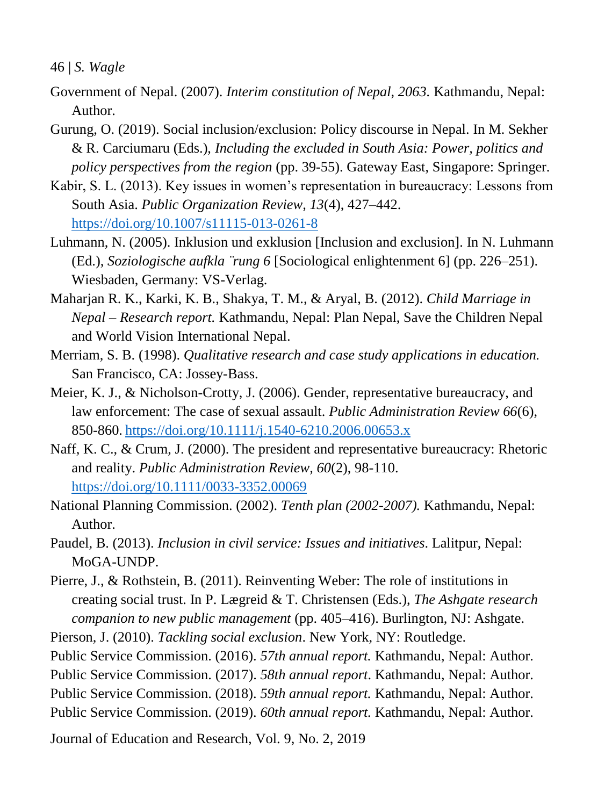46 | *S. Wagle*

- Government of Nepal. (2007). *Interim constitution of Nepal, 2063.* Kathmandu, Nepal: Author.
- Gurung, O. (2019). Social inclusion/exclusion: Policy discourse in Nepal. In M. Sekher & R. Carciumaru (Eds.), *Including the excluded in South Asia: Power, politics and policy perspectives from the region* (pp. 39-55). Gateway East, Singapore: Springer.
- Kabir, S. L. (2013). Key issues in women"s representation in bureaucracy: Lessons from South Asia. *Public Organization Review, 13*(4), 427–442. <https://doi.org/10.1007/s11115-013-0261-8>
- Luhmann, N. (2005). Inklusion und exklusion [Inclusion and exclusion]. In N. Luhmann (Ed.), *Soziologische aufkla ¨rung 6* [Sociological enlightenment 6] (pp. 226–251). Wiesbaden, Germany: VS-Verlag.
- Maharjan R. K., Karki, K. B., Shakya, T. M., & Aryal, B. (2012). *Child Marriage in Nepal – Research report.* Kathmandu, Nepal: Plan Nepal, Save the Children Nepal and World Vision International Nepal.
- Merriam, S. B. (1998). *Qualitative research and case study applications in education.*  San Francisco, CA: Jossey-Bass.
- Meier, K. J., & Nicholson-Crotty, J. (2006). Gender, representative bureaucracy, and law enforcement: The case of sexual assault. *Public Administration Review 66*(6)*,*  850-860. <https://doi.org/10.1111/j.1540-6210.2006.00653.x>
- Naff, K. C., & Crum, J. (2000). The president and representative bureaucracy: Rhetoric and reality. *Public Administration Review, 60*(2), 98-110. <https://doi.org/10.1111/0033-3352.00069>
- National Planning Commission. (2002). *Tenth plan (2002-2007).* Kathmandu, Nepal: Author.
- Paudel, B. (2013). *Inclusion in civil service: Issues and initiatives*. Lalitpur, Nepal: MoGA-UNDP.
- Pierre, J., & Rothstein, B. (2011). Reinventing Weber: The role of institutions in creating social trust. In P. Lægreid & T. Christensen (Eds.), *The Ashgate research companion to new public management* (pp. 405–416). Burlington, NJ: Ashgate.
- Pierson, J. (2010). *Tackling social exclusion*. New York, NY: Routledge.
- Public Service Commission. (2016). *57th annual report.* Kathmandu, Nepal: Author. Public Service Commission. (2017). *58th annual report*. Kathmandu, Nepal: Author. Public Service Commission. (2018). *59th annual report.* Kathmandu, Nepal: Author. Public Service Commission. (2019). *60th annual report.* Kathmandu, Nepal: Author.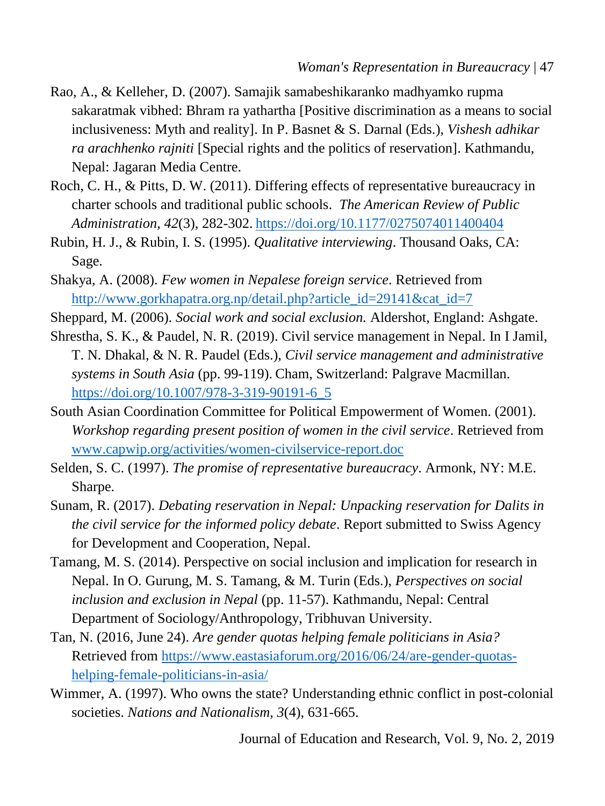- Rao, A., & Kelleher, D. (2007). Samajik samabeshikaranko madhyamko rupma sakaratmak vibhed: Bhram ra yathartha [Positive discrimination as a means to social inclusiveness: Myth and reality]. In P. Basnet & S. Darnal (Eds.), *Vishesh adhikar ra arachhenko rajniti* [Special rights and the politics of reservation]. Kathmandu, Nepal: Jagaran Media Centre.
- Roch, C. H., & Pitts, D. W. (2011). Differing effects of representative bureaucracy in charter schools and traditional public schools. *The American Review of Public Administration, 42*(3), 282-302. <https://doi.org/10.1177/0275074011400404>
- Rubin, H. J., & Rubin, I. S. (1995). *Qualitative interviewing*. Thousand Oaks, CA: Sage.
- Shakya, A. (2008). *Few women in Nepalese foreign service*. Retrieved from [http://www.gorkhapatra.org.np/detail.php?article\\_id=29141&cat\\_id=7](http://www.gorkhapatra.org.np/detail.php?article_id=29141&cat_id=7)
- Sheppard, M. (2006). *Social work and social exclusion.* Aldershot, England: Ashgate.
- Shrestha, S. K., & Paudel, N. R. (2019). Civil service management in Nepal. In I Jamil, T. N. Dhakal, & N. R. Paudel (Eds.), *Civil service management and administrative systems in South Asia* (pp. 99-119). Cham, Switzerland: Palgrave Macmillan. [https://doi.org/10.1007/978-3-319-90191-6\\_5](https://doi.org/10.1007/978-3-319-90191-6_5)
- South Asian Coordination Committee for Political Empowerment of Women. (2001). *Workshop regarding present position of women in the civil service*. Retrieved from [www.capwip.org/activities/women-civilservice-report.doc](http://www.capwip.org/activities/women-civilservice-report.doc)
- Selden, S. C. (1997). *The promise of representative bureaucracy*. Armonk, NY: M.E. Sharpe.
- Sunam, R. (2017). *Debating reservation in Nepal: Unpacking reservation for Dalits in the civil service for the informed policy debate*. Report submitted to Swiss Agency for Development and Cooperation, Nepal.
- Tamang, M. S. (2014). Perspective on social inclusion and implication for research in Nepal. In O. Gurung, M. S. Tamang, & M. Turin (Eds.), *Perspectives on social inclusion and exclusion in Nepal* (pp. 11-57). Kathmandu, Nepal: Central Department of Sociology/Anthropology, Tribhuvan University.
- Tan, N. (2016, June 24). *Are gender quotas helping female politicians in Asia?* Retrieved from [https://www.eastasiaforum.org/2016/06/24/are-gender-quotas](https://www.eastasiaforum.org/2016/06/24/are-gender-quotas-helping-female-politicians-in-asia/)[helping-female-politicians-in-asia/](https://www.eastasiaforum.org/2016/06/24/are-gender-quotas-helping-female-politicians-in-asia/)
- Wimmer, A. (1997). Who owns the state? Understanding ethnic conflict in post-colonial societies. *Nations and Nationalism, 3*(4), 631-665.